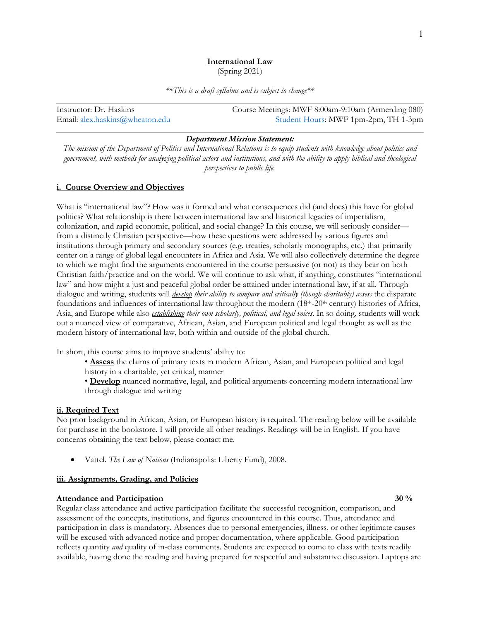# **International Law**

(Spring 2021)

*\*\*This is a draft syllabus and is subject to change\*\**

| Instructor: Dr. Haskins         | Course Meetings: MWF 8:00am-9:10am (Armerding 080) |
|---------------------------------|----------------------------------------------------|
| Email: alex.haskins@wheaton.edu | Student Hours: MWF 1pm-2pm, TH 1-3pm               |

### *Department Mission Statement:*

*The mission of the Department of Politics and International Relations is to equip students with knowledge about politics and government, with methods for analyzing political actors and institutions, and with the ability to apply biblical and theological perspectives to public life.*

## **i. Course Overview and Objectives**

What is "international law"? How was it formed and what consequences did (and does) this have for global politics? What relationship is there between international law and historical legacies of imperialism, colonization, and rapid economic, political, and social change? In this course, we will seriously consider from a distinctly Christian perspective—how these questions were addressed by various figures and institutions through primary and secondary sources (e.g. treaties, scholarly monographs, etc.) that primarily center on a range of global legal encounters in Africa and Asia. We will also collectively determine the degree to which we might find the arguments encountered in the course persuasive (or not) as they bear on both Christian faith/practice and on the world. We will continue to ask what, if anything, constitutes "international law" and how might a just and peaceful global order be attained under international law, if at all. Through dialogue and writing, students will *develop their ability to compare and critically (though charitably) assess* the disparate foundations and influences of international law throughout the modern (18<sup>th</sup>-20<sup>th</sup> century) histories of Africa, Asia, and Europe while also *establishing their own scholarly, political, and legal voices*. In so doing, students will work out a nuanced view of comparative, African, Asian, and European political and legal thought as well as the modern history of international law, both within and outside of the global church.

In short, this course aims to improve students' ability to:

• **Assess** the claims of primary texts in modern African, Asian, and European political and legal history in a charitable, yet critical, manner

• **Develop** nuanced normative, legal, and political arguments concerning modern international law through dialogue and writing

## **ii. Required Text**

No prior background in African, Asian, or European history is required. The reading below will be available for purchase in the bookstore. I will provide all other readings. Readings will be in English. If you have concerns obtaining the text below, please contact me.

• Vattel. *The Law of Nations* (Indianapolis: Liberty Fund), 2008.

## **iii. Assignments, Grading, and Policies**

## **Attendance and Participation 30 % 30 % 30 % 30 % 30 % 30 % 30 % 30 % 30 % 30 % 30 % 30 % 30 % 30 % 30 % 30 % 30 % 30 % 30 % 30 % 30 % 30 % 30 % 30 %**

Regular class attendance and active participation facilitate the successful recognition, comparison, and assessment of the concepts, institutions, and figures encountered in this course. Thus, attendance and participation in class is mandatory. Absences due to personal emergencies, illness, or other legitimate causes will be excused with advanced notice and proper documentation, where applicable. Good participation reflects quantity *and* quality of in-class comments. Students are expected to come to class with texts readily available, having done the reading and having prepared for respectful and substantive discussion. Laptops are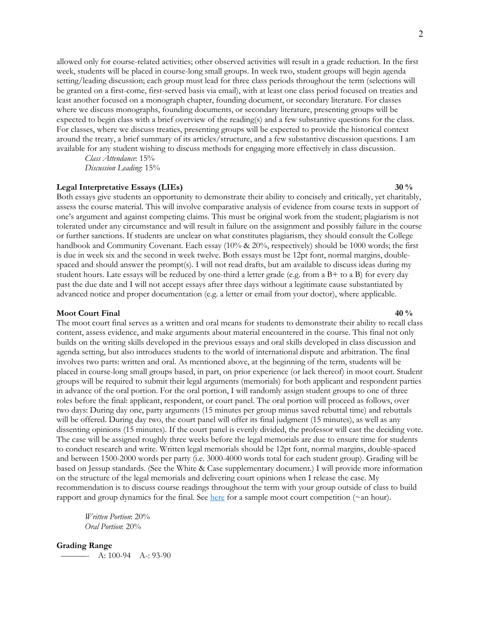allowed only for course-related activities; other observed activities will result in a grade reduction. In the first week, students will be placed in course-long small groups. In week two, student groups will begin agenda setting/leading discussion; each group must lead for three class periods throughout the term (selections will be granted on a first-come, first-served basis via email), with at least one class period focused on treaties and least another focused on a monograph chapter, founding document, or secondary literature. For classes where we discuss monographs, founding documents, or secondary literature, presenting groups will be expected to begin class with a brief overview of the reading(s) and a few substantive questions for the class. For classes, where we discuss treaties, presenting groups will be expected to provide the historical context around the treaty, a brief summary of its articles/structure, and a few substantive discussion questions. I am available for any student wishing to discuss methods for engaging more effectively in class discussion.

*Class Attendance*: 15% *Discussion Leading*: 15%

## **Legal Interpretative Essays (LIEs) 30 %**

Both essays give students an opportunity to demonstrate their ability to concisely and critically, yet charitably, assess the course material. This will involve comparative analysis of evidence from course texts in support of one's argument and against competing claims. This must be original work from the student; plagiarism is not tolerated under any circumstance and will result in failure on the assignment and possibly failure in the course or further sanctions. If students are unclear on what constitutes plagiarism, they should consult the College handbook and Community Covenant. Each essay (10% & 20%, respectively) should be 1000 words; the first is due in week six and the second in week twelve. Both essays must be 12pt font, normal margins, doublespaced and should answer the prompt(s). I will not read drafts, but am available to discuss ideas during my student hours. Late essays will be reduced by one-third a letter grade (e.g. from a B+ to a B) for every day past the due date and I will not accept essays after three days without a legitimate cause substantiated by advanced notice and proper documentation (e.g. a letter or email from your doctor), where applicable.

## **Moot Court Final** 40 %

The moot court final serves as a written and oral means for students to demonstrate their ability to recall class content, assess evidence, and make arguments about material encountered in the course. This final not only builds on the writing skills developed in the previous essays and oral skills developed in class discussion and agenda setting, but also introduces students to the world of international dispute and arbitration. The final involves two parts: written and oral. As mentioned above, at the beginning of the term, students will be placed in course-long small groups based, in part, on prior experience (or lack thereof) in moot court. Student groups will be required to submit their legal arguments (memorials) for both applicant and respondent parties in advance of the oral portion. For the oral portion, I will randomly assign student groups to one of three roles before the final: applicant, respondent, or court panel. The oral portion will proceed as follows, over two days: During day one, party arguments (15 minutes per group minus saved rebuttal time) and rebuttals will be offered. During day two, the court panel will offer its final judgment (15 minutes), as well as any dissenting opinions (15 minutes). If the court panel is evenly divided, the professor will cast the deciding vote. The case will be assigned roughly three weeks before the legal memorials are due to ensure time for students to conduct research and write. Written legal memorials should be 12pt font, normal margins, double-spaced and between 1500-2000 words per party (i.e. 3000-4000 words total for each student group). Grading will be based on Jessup standards. (See the White & Case supplementary document.) I will provide more information on the structure of the legal memorials and delivering court opinions when I release the case. My recommendation is to discuss course readings throughout the term with your group outside of class to build rapport and group dynamics for the final. See here for a sample moot court competition ( $\sim$ an hour).

*Written Portion*: 20% *Oral Portion*: 20%

**Grading Range**

 $- A: 100-94 A: 93-90$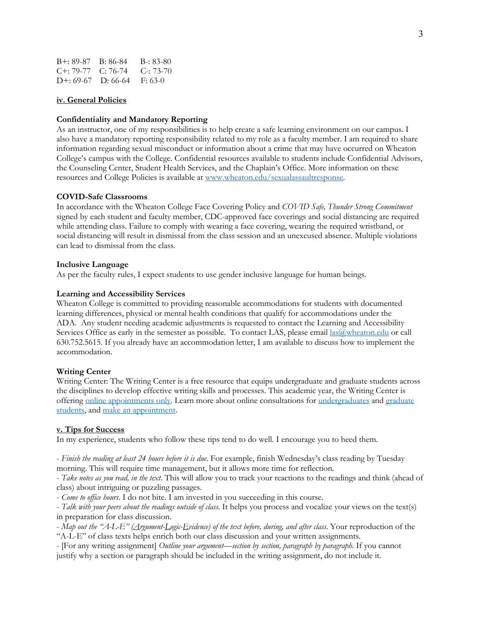| $B_{+}$ : 89-87 B: 86-84          |                                     | $B-33-80$   |
|-----------------------------------|-------------------------------------|-------------|
| $C_{\pm}$ : 79-77 $C_{\pm}$ 76-74 |                                     | $C = 73-70$ |
|                                   | $D^{+}: 69-67$ $D: 66-64$ $F: 63-0$ |             |

## **iv. General Policies**

## **Confidentiality and Mandatory Reporting**

As an instructor, one of my responsibilities is to help create a safe learning environment on our campus. I also have a mandatory reporting responsibility related to my role as a faculty member. I am required to share information regarding sexual misconduct or information about a crime that may have occurred on Wheaton College's campus with the College. Confidential resources available to students include Confidential Advisors, the Counseling Center, Student Health Services, and the Chaplain's Office. More information on these resources and College Policies is available at www.wheaton.edu/sexualassaultresponse.

#### **COVID-Safe Classrooms**

In accordance with the Wheaton College Face Covering Policy and *COVID Safe, Thunder Strong Commitment* signed by each student and faculty member, CDC-approved face coverings and social distancing are required while attending class. Failure to comply with wearing a face covering, wearing the required wristband, or social distancing will result in dismissal from the class session and an unexcused absence. Multiple violations can lead to dismissal from the class.

#### **Inclusive Language**

As per the faculty rules, I expect students to use gender inclusive language for human beings.

## **Learning and Accessibility Services**

Wheaton College is committed to providing reasonable accommodations for students with documented learning differences, physical or mental health conditions that qualify for accommodations under the ADA. Any student needing academic adjustments is requested to contact the Learning and Accessibility Services Office as early in the semester as possible. To contact LAS, please email las@wheaton.edu or call 630.752.5615. If you already have an accommodation letter, I am available to discuss how to implement the accommodation.

#### **Writing Center**

Writing Center: The Writing Center is a free resource that equips undergraduate and graduate students across the disciplines to develop effective writing skills and processes. This academic year, the Writing Center is offering online appointments only. Learn more about online consultations for undergraduates and graduate students, and make an appointment.

## **v. Tips for Success**

In my experience, students who follow these tips tend to do well. I encourage you to heed them.

- *Finish the reading at least 24 hours before it is due*. For example, finish Wednesday's class reading by Tuesday morning. This will require time management, but it allows more time for reflection.

- *Take notes as you read, in the text*. This will allow you to track your reactions to the readings and think (ahead of class) about intriguing or puzzling passages.

- *Come to office hours*. I do not bite. I am invested in you succeeding in this course.

- *Talk with your peers about the readings outside of class*. It helps you process and vocalize your views on the text(s) in preparation for class discussion.

- *Map out the "A-L-E" (Argument-Logic-Evidence) of the text before, during, and after class*. Your reproduction of the "A-L-E" of class texts helps enrich both our class discussion and your written assignments.

- [For any writing assignment] *Outline your argument—section by section, paragraph by paragraph*. If you cannot justify why a section or paragraph should be included in the writing assignment, do not include it.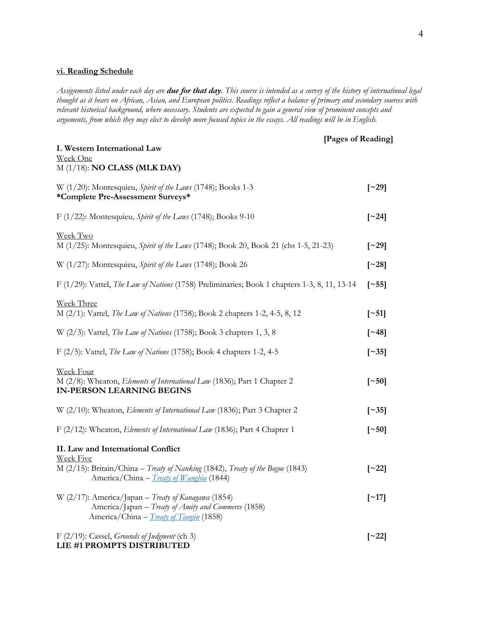# **vi. Reading Schedule**

*Assignments listed under each day are due for that day. This course is intended as a survey of the history of international legal thought as it bears on African, Asian, and European politics. Readings reflect a balance of primary and secondary sources with relevant historical background, where necessary. Students are expected to gain a general view of prominent concepts and arguments, from which they may elect to develop more focused topics in the essays. All readings will be in English.*

 **[Pages of Reading]**

| I. Western International Law<br>Week One                                                                                                                      |                         |
|---------------------------------------------------------------------------------------------------------------------------------------------------------------|-------------------------|
| $M(1/18)$ : NO CLASS (MLK DAY)                                                                                                                                |                         |
| W (1/20): Montesquieu, Spirit of the Laws (1748); Books 1-3<br>*Complete Pre-Assessment Surveys*                                                              | $\lceil$ 29\rceil       |
| F (1/22): Montesquieu, Spirit of the Laws (1748); Books 9-10                                                                                                  | $\lceil 24 \rceil$      |
| Week Two<br>M (1/25): Montesquieu, Spirit of the Laws (1748); Book 20, Book 21 (chs 1-5, 21-23)                                                               | $\lceil$ 29\rceil       |
| W (1/27): Montesquieu, Spirit of the Laws (1748); Book 26                                                                                                     | $\lceil 28 \rceil$      |
| F (1/29): Vattel, The Law of Nations (1758) Preliminaries; Book 1 chapters 1-3, 8, 11, 13-14                                                                  | $\lceil \sim 55 \rceil$ |
| Week Three<br>M (2/1): Vattel, <i>The Law of Nations</i> (1758); Book 2 chapters 1-2, 4-5, 8, 12                                                              | $\lceil -51 \rceil$     |
| W (2/3): Vattel, The Law of Nations (1758); Book 3 chapters 1, 3, 8                                                                                           | $\lceil 248 \rceil$     |
| F (2/5): Vattel, The Law of Nations (1758); Book 4 chapters 1-2, 4-5                                                                                          | $\lceil \sim 35 \rceil$ |
| Week Four<br>M (2/8): Wheaton, Elements of International Law (1836); Part 1 Chapter 2<br><b>IN-PERSON LEARNING BEGINS</b>                                     | $\lceil -50 \rceil$     |
| W (2/10): Wheaton, Elements of International Law (1836); Part 3 Chapter 2                                                                                     | $\lceil \sim 35 \rceil$ |
| F (2/12): Wheaton, Elements of International Law (1836); Part 4 Chapter 1                                                                                     | $\lceil -50 \rceil$     |
| II. Law and International Conflict<br><b>Week Five</b>                                                                                                        |                         |
| M (2/15): Britain/China – Treaty of Nanking (1842), Treaty of the Bogue (1843)<br>America/China – <i>Treaty of Wanghia</i> (1844)                             | $\lceil 22 \rceil$      |
| W (2/17): America/Japan - Treaty of Kanagawa (1854)<br>America/Japan - Treaty of Amity and Commerce (1858)<br>America/China - <i>Treaty of Tianjin</i> (1858) | $\lceil$ ~17]           |
| F $(2/19)$ : Cassel, Grounds of Judgment (ch 3)                                                                                                               | $\lceil 22 \rceil$      |

**LIE #1 PROMPTS DISTRIBUTED**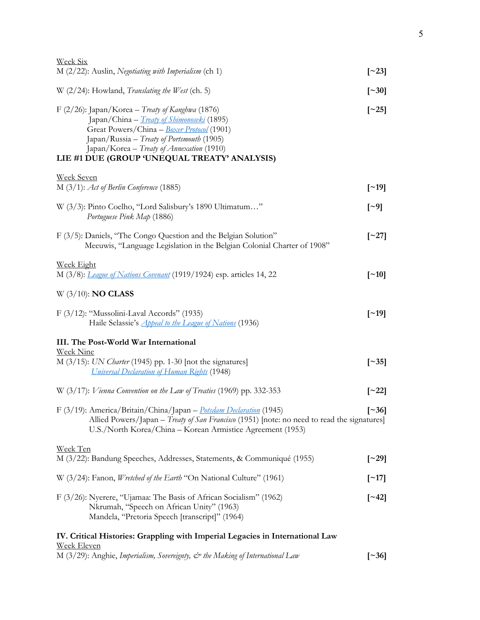| <u>Week Six</u>                                                                                                                                                                                                                                                                                |                          |
|------------------------------------------------------------------------------------------------------------------------------------------------------------------------------------------------------------------------------------------------------------------------------------------------|--------------------------|
| $M$ (2/22): Auslin, Negotiating with Imperialism (ch 1)                                                                                                                                                                                                                                        | $\lceil 23 \rceil$       |
| W (2/24): Howland, Translating the West (ch. 5)                                                                                                                                                                                                                                                | $\lceil 30 \rceil$       |
| F (2/26): Japan/Korea - Treaty of Kanghwa (1876)<br>Japan/China - <i>Treaty of Shimonoseki</i> (1895)<br>Great Powers/China - Boxer Protocol (1901)<br>Japan/Russia - Treaty of Portsmouth (1905)<br>Japan/Korea - Treaty of Annexation (1910)<br>LIE #1 DUE (GROUP 'UNEQUAL TREATY' ANALYSIS) | $\lceil 25 \rceil$       |
| <b>Week Seven</b><br>$M(3/1)$ : Act of Berlin Conference (1885)                                                                                                                                                                                                                                | $\lceil$ ~19]            |
| W (3/3): Pinto Coelho, "Lord Salisbury's 1890 Ultimatum"<br>Portuguese Pink Map (1886)                                                                                                                                                                                                         | $\lbrack -9]$            |
| F (3/5): Daniels, "The Congo Question and the Belgian Solution"<br>Meeuwis, "Language Legislation in the Belgian Colonial Charter of 1908"                                                                                                                                                     | $\lbrack -27\rbrack$     |
| Week Eight<br>M (3/8): <i>League of Nations Covenant</i> (1919/1924) esp. articles 14, 22                                                                                                                                                                                                      | $\lceil$ ~10]            |
| $W$ (3/10): <b>NO CLASS</b>                                                                                                                                                                                                                                                                    |                          |
| $F$ (3/12): "Mussolini-Laval Accords" (1935)<br>Haile Selassie's <i>Appeal to the League of Nations</i> (1936)                                                                                                                                                                                 | $\lceil$ –19]            |
| III. The Post-World War International                                                                                                                                                                                                                                                          |                          |
| <b>Week Nine</b><br>M (3/15): UN Charter (1945) pp. 1-30 [not the signatures]<br><b>Universal Declaration of Human Rights (1948)</b>                                                                                                                                                           | $\left[ \sim 35 \right]$ |
| W $(3/17)$ : Vienna Convention on the Law of Treaties (1969) pp. 332-353                                                                                                                                                                                                                       | $\left[\sim 22\right]$   |
| F (3/19): America/Britain/China/Japan – Potsdam Declaration (1945)<br>Allied Powers/Japan – Treaty of San Francisco (1951) [note: no need to read the signatures]<br>U.S./North Korea/China - Korean Armistice Agreement (1953)                                                                | $\lceil 36 \rceil$       |
| <u>Week Ten</u><br>M (3/22): Bandung Speeches, Addresses, Statements, & Communiqué (1955)                                                                                                                                                                                                      | $\left[ \sim 29 \right]$ |
| W (3/24): Fanon, <i>Wretched of the Earth</i> "On National Culture" (1961)                                                                                                                                                                                                                     | $[\sim]17]$              |
| F (3/26): Nyerere, "Ujamaa: The Basis of African Socialism" (1962)<br>Nkrumah, "Speech on African Unity" (1963)<br>Mandela, "Pretoria Speech [transcript]" (1964)                                                                                                                              | $\lceil 242 \rceil$      |
| IV. Critical Histories: Grappling with Imperial Legacies in International Law                                                                                                                                                                                                                  |                          |
| <u>Week Eleven</u><br>M (3/29): Anghie, Imperialism, Sovereignty, $\mathcal O^*$ the Making of International Law                                                                                                                                                                               | $\lceil 36 \rceil$       |